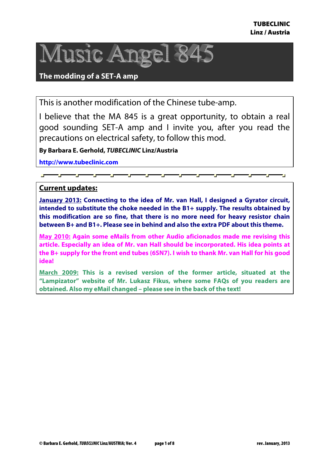

### **The modding of a SET-A amp**

This is another modification of the Chinese tube-amp.

I believe that the MA 845 is a great opportunity, to obtain a real good sounding SET-A amp and I invite you, after you read the precautions on electrical safety, to follow this mod.

**By Barbara E. Gerhold, TUBECLINIC Linz/Austria** 

**http://www.tubeclinic.com**

# **Current updates:**

**January 2013: Connecting to the idea of Mr. van Hall, I designed a Gyrator circuit, intended to substitute the choke needed in the B1+ supply. The results obtained by this modification are so fine, that there is no more need for heavy resistor chain between B+ and B1+. Please see in behind and also the extra PDF about this theme.** 

**May 2010: Again some eMails from other Audio aficionados made me revising this article. Especially an idea of Mr. van Hall should be incorporated. His idea points at the B+ supply for the front end tubes (6SN7). I wish to thank Mr. van Hall for his good idea!** 

**March 2009: This is a revised version of the former article, situated at the "Lampizator" website of Mr. Lukasz Fikus, where some FAQs of you readers are obtained. Also my eMail changed – please see in the back of the text!**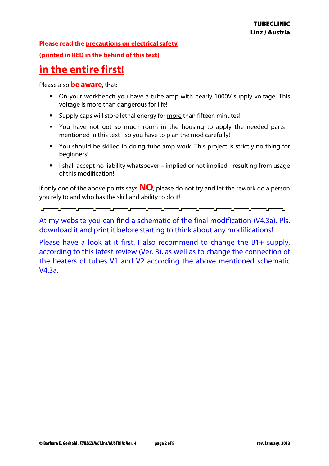#### **Please read the precautions on electrical safety**

#### **(printed in RED in the behind of this text)**

# **in the entire first!**

Please also **be aware**, that:

- On your workbench you have a tube amp with nearly 1000V supply voltage! This voltage is more than dangerous for life!
- Supply caps will store lethal energy for more than fifteen minutes!
- You have not got so much room in the housing to apply the needed parts mentioned in this text - so you have to plan the mod carefully!
- You should be skilled in doing tube amp work. This project is strictly no thing for beginners!
- I shall accept no liability whatsoever implied or not implied resulting from usage of this modification!

If only one of the above points says **NO**, please do not try and let the rework do a person you rely to and who has the skill and ability to do it!

At my website you can find a schematic of the final modification (V4.3a). Pls. download it and print it before starting to think about any modifications!

Please have a look at it first. I also recommend to change the B1+ supply, according to this latest review (Ver. 3), as well as to change the connection of the heaters of tubes V1 and V2 according the above mentioned schematic V4.3a.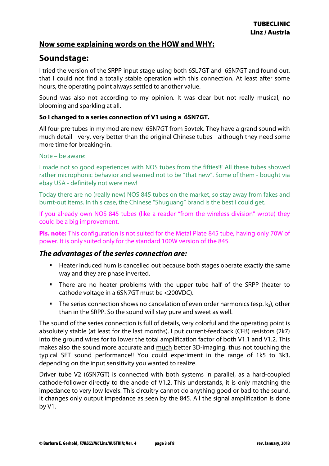### **Now some explaining words on the HOW and WHY:**

# **Soundstage:**

I tried the version of the SRPP input stage using both 6SL7GT and 6SN7GT and found out, that I could not find a totally stable operation with this connection. At least after some hours, the operating point always settled to another value.

Sound was also not according to my opinion. It was clear but not really musical, no blooming and sparkling at all.

#### **So I changed to a series connection of V1 using a 6SN7GT.**

All four pre-tubes in my mod are new 6SN7GT from Sovtek. They have a grand sound with much detail - very, very better than the original Chinese tubes - although they need some more time for breaking-in.

#### Note – be aware:

I made not so good experiences with NOS tubes from the fifties!!! All these tubes showed rather microphonic behavior and seamed not to be "that new". Some of them - bought via ebay USA - definitely not were new!

Today there are no (really new) NOS 845 tubes on the market, so stay away from fakes and burnt-out items. In this case, the Chinese "Shuguang" brand is the best I could get.

If you already own NOS 845 tubes (like a reader "from the wireless division" wrote) they could be a big improvement.

**Pls. note:** This configuration is not suited for the Metal Plate 845 tube, having only 70W of power. It is only suited only for the standard 100W version of the 845.

### **The advantages of the series connection are:**

- Heater induced hum is cancelled out because both stages operate exactly the same way and they are phase inverted.
- **There are no heater problems with the upper tube half of the SRPP (heater to** cathode voltage in a 6SN7GT must be <200VDC).
- The series connection shows no cancelation of even order harmonics (esp.  $k_2$ ), other than in the SRPP. So the sound will stay pure and sweet as well.

The sound of the series connection is full of details, very colorful and the operating point is absolutely stable (at least for the last months). I put current-feedback (CFB) resistors (2k7) into the ground wires for to lower the total amplification factor of both V1.1 and V1.2. This makes also the sound more accurate and much better 3D-imaging, thus not touching the typical SET sound performance!! You could experiment in the range of 1k5 to 3k3, depending on the input sensitivity you wanted to realize.

Driver tube V2 (6SN7GT) is connected with both systems in parallel, as a hard-coupled cathode-follower directly to the anode of V1.2. This understands, it is only matching the impedance to very low levels. This circuitry cannot do anything good or bad to the sound, it changes only output impedance as seen by the 845. All the signal amplification is done by V1.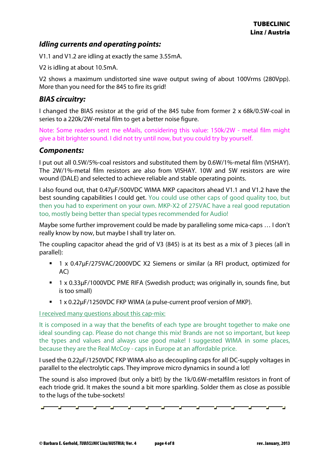# **Idling currents and operating points:**

V1.1 and V1.2 are idling at exactly the same 3.55mA.

V2 is idling at about 10.5mA.

V2 shows a maximum undistorted sine wave output swing of about 100Vrms (280Vpp). More than you need for the 845 to fire its grid!

# **BIAS circuitry:**

I changed the BIAS resistor at the grid of the 845 tube from former 2 x 68k/0.5W-coal in series to a 220k/2W-metal film to get a better noise figure.

Note: Some readers sent me eMails, considering this value: 150k/2W - metal film might give a bit brighter sound. I did not try until now, but you could try by yourself.

# **Components:**

I put out all 0.5W/5%-coal resistors and substituted them by 0.6W/1%-metal film (VISHAY). The 2W/1%-metal film resistors are also from VISHAY. 10W and 5W resistors are wire wound (DALE) and selected to achieve reliable and stable operating points.

I also found out, that 0.47µF/500VDC WIMA MKP capacitors ahead V1.1 and V1.2 have the best sounding capabilities I could get. You could use other caps of good quality too, but then you had to experiment on your own. MKP-X2 of 275VAC have a real good reputation too, mostly being better than special types recommended for Audio!

Maybe some further improvement could be made by paralleling some mica-caps … I don't really know by now, but maybe I shall try later on.

The coupling capacitor ahead the grid of V3 (845) is at its best as a mix of 3 pieces (all in parallel):

- 1 x 0.47µF/275VAC/2000VDC X2 Siemens or similar (a RFI product, optimized for AC)
- 1 x 0.33µF/1000VDC PME RIFA (Swedish product; was originally in, sounds fine, but is too small)
- 1 x 0.22µF/1250VDC FKP WIMA (a pulse-current proof version of MKP).

I received many questions about this cap-mix:

It is composed in a way that the benefits of each type are brought together to make one ideal sounding cap. Please do not change this mix! Brands are not so important, but keep the types and values and always use good make! I suggested WIMA in some places, because they are the Real McCoy - caps in Europe at an affordable price.

I used the 0.22µF/1250VDC FKP WIMA also as decoupling caps for all DC-supply voltages in parallel to the electrolytic caps. They improve micro dynamics in sound a lot!

The sound is also improved (but only a bit!) by the 1k/0.6W-metalfilm resistors in front of each triode grid. It makes the sound a bit more sparkling. Solder them as close as possible to the lugs of the tube-sockets!

ng manang pangangguna pang pang

**Service** 

<u>an an a</u>

<u>a mate</u>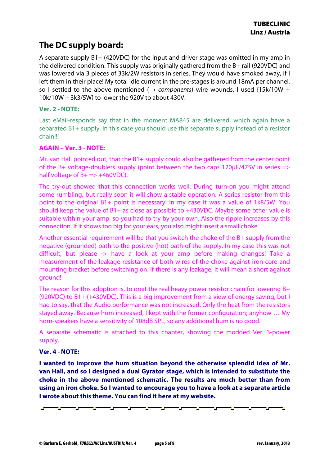# **The DC supply board:**

A separate supply B1+ (420VDC) for the input and driver stage was omitted in my amp in the delivered condition. This supply was originally gathered from the B+ rail (920VDC) and was lowered via 3 pieces of 33k/2W resistors in series. They would have smoked away, if I left them in their place! My total idle current in the pre-stages is around 18mA per channel, so I settled to the above mentioned ( $\rightarrow$  components) wire wounds. I used {15k/10W + 10k/10W + 3k3/5W} to lower the 920V to about 430V.

#### **Ver. 2 - NOTE:**

Last eMail-responds say that in the moment MA845 are delivered, which again have a separated B1+ supply. In this case you should use this separate supply instead of a resistor chain!!!

#### **AGAIN – Ver. 3 - NOTE:**

Mr. van Hall pointed out, that the B1+ supply could also be gathered from the center point of the B+ voltage-doublers supply (point between the two caps 120 $\mu$ F/475V in series  $\Rightarrow$ half voltage of  $B+ \implies +460VDC$ ).

The try-out showed that this connection works well. During turn-on you might attend some rumbling, but really soon it will show a stable operation. A series resistor from this point to the original B1+ point is necessary. In my case it was a value of 1k8/5W. You should keep the value of B1+ as close as possible to +430VDC. Maybe some other value is suitable within your amp, so you had to try by your own. Also the ripple increases by this connection. If it shows too big for your ears, you also might insert a small choke.

Another essential requirement will be that you switch the choke of the B+ supply from the negative (grounded) path to the positive (hot) path of the supply. In my case this was not difficult, but please -> have a look at your amp before making changes! Take a measurement of the leakage resistance of both wires of the choke against iron core and mounting bracket before switching on. If there is any leakage, it will mean a short against ground!

The reason for this adoption is, to omit the real heavy power resistor chain for lowering B+ (920VDC) to B1+ (+430VDC). This is a big improvement from a view of energy saving, but I had to say, that the Audio performance was not increased. Only the heat from the resistors stayed away. Because hum increased, I kept with the former configuration; anyhow … My horn-speakers have a sensitivity of 108dB SPL, so any additional hum is no good.

A separate schematic is attached to this chapter, showing the modded Ver. 3-power supply.

#### **Ver. 4 - NOTE:**

**I wanted to improve the hum situation beyond the otherwise splendid idea of Mr. van Hall, and so I designed a dual Gyrator stage, which is intended to substitute the choke in the above mentioned schematic. The results are much better than from using an iron choke. So I wanted to encourage you to have a look at a separate article I wrote about this theme. You can find it here at my website.** 

- 100 -2000 — **—** — **—** <u>— 11 — 1</u> — **—** — **—** — **—** <u>an an a</u> <u>an an a</u>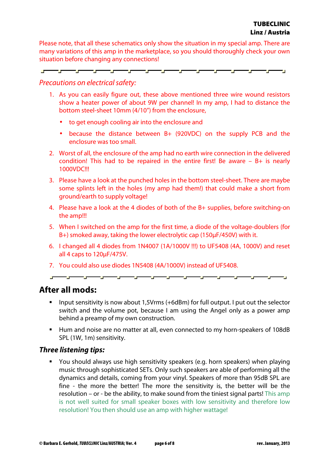Please note, that all these schematics only show the situation in my special amp. There are many variations of this amp in the marketplace, so you should thoroughly check your own situation before changing any connections!

▅<u>▅<sup>▃▁▁▃</sup>▅<sup>▁▁▁▁</sup>▅▔▔▔▅▅<sup>▁▁▁</sup>▅▔▔▔▔▅</u>  $\overline{\phantom{a}}$ 

#### Precautions on electrical safety:

- 1. As you can easily figure out, these above mentioned three wire wound resistors show a heater power of about 9W per channel! In my amp, I had to distance the bottom steel-sheet 10mm (4/10") from the enclosure,
	- to get enough cooling air into the enclosure and
	- because the distance between B+ (920VDC) on the supply PCB and the enclosure was too small.
- 2. Worst of all, the enclosure of the amp had no earth wire connection in the delivered condition! This had to be repaired in the entire first! Be aware – B+ is nearly 1000VDC!!!
- 3. Please have a look at the punched holes in the bottom steel-sheet. There are maybe some splints left in the holes (my amp had them!) that could make a short from ground/earth to supply voltage!
- 4. Please have a look at the 4 diodes of both of the B+ supplies, before switching-on the amp!!!
- 5. When I switched on the amp for the first time, a diode of the voltage-doublers (for B+) smoked away, taking the lower electrolytic cap (150µF/450V) with it.
- 6. I changed all 4 diodes from 1N4007 (1A/1000V !!!) to UF5408 (4A, 1000V) and reset all 4 caps to 120µF/475V.
- 7. You could also use diodes 1N5408 (4A/1000V) instead of UF5408.

▃<sub>▆</sub>▃▁▃<sub>▆</sub>▃▁▃<sub>▆</sub>▃▁▃<sub>▆</sub>▃▁▃<sub>▆</sub>▃▁▃<sub>▆</sub>▃▁▃<sub>▆</sub>▃▁▃<sub>▆</sub>▃▁▃<sub>▆</sub>▃▁▃<sub>▆</sub>▃▁▁<sub>▆</sub>▃▁

# **After all mods:**

- Input sensitivity is now about 1,5Vrms (+6dBm) for full output. I put out the selector switch and the volume pot, because I am using the Angel only as a power amp behind a preamp of my own construction.
- Hum and noise are no matter at all, even connected to my horn-speakers of 108dB SPL (1W, 1m) sensitivity.

### **Three listening tips:**

 You should always use high sensitivity speakers (e.g. horn speakers) when playing music through sophisticated SETs. Only such speakers are able of performing all the dynamics and details, coming from your vinyl. Speakers of more than 95dB SPL are fine - the more the better! The more the sensitivity is, the better will be the resolution – or - be the ability, to make sound from the tiniest signal parts! This amp is not well suited for small speaker boxes with low sensitivity and therefore low resolution! You then should use an amp with higher wattage!

<u> Tarihin San</u>

— r

÷.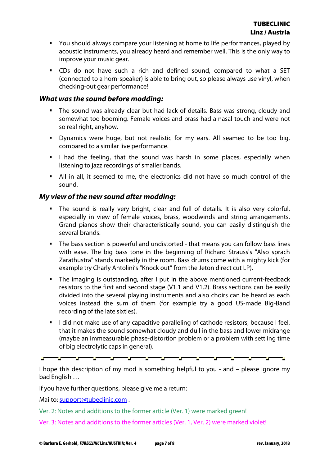- You should always compare your listening at home to life performances, played by acoustic instruments, you already heard and remember well. This is the only way to improve your music gear.
- CDs do not have such a rich and defined sound, compared to what a SET (connected to a horn-speaker) is able to bring out, so please always use vinyl, when checking-out gear performance!

### **What was the sound before modding:**

- The sound was already clear but had lack of details. Bass was strong, cloudy and somewhat too booming. Female voices and brass had a nasal touch and were not so real right, anyhow.
- Dynamics were huge, but not realistic for my ears. All seamed to be too big, compared to a similar live performance.
- I had the feeling, that the sound was harsh in some places, especially when listening to jazz recordings of smaller bands.
- All in all, it seemed to me, the electronics did not have so much control of the sound.

# **My view of the new sound after modding:**

- The sound is really very bright, clear and full of details. It is also very colorful, especially in view of female voices, brass, woodwinds and string arrangements. Grand pianos show their characteristically sound, you can easily distinguish the several brands.
- The bass section is powerful and undistorted that means you can follow bass lines with ease. The big bass tone in the beginning of Richard Strauss's "Also sprach Zarathustra" stands markedly in the room. Bass drums come with a mighty kick (for example try Charly Antolini's "Knock out" from the Jeton direct cut LP).
- The imaging is outstanding, after I put in the above mentioned current-feedback resistors to the first and second stage (V1.1 and V1.2). Brass sections can be easily divided into the several playing instruments and also choirs can be heard as each voices instead the sum of them (for example try a good US-made Big-Band recording of the late sixties).
- I did not make use of any capacitive paralleling of cathode resistors, because I feel, that it makes the sound somewhat cloudy and dull in the bass and lower midrange (maybe an immeasurable phase-distortion problem or a problem with settling time of big electrolytic caps in general).

I hope this description of my mod is something helpful to you - and – please ignore my bad English …

-2000

المستور

<u> - 1999 - 1999 - 1999 - 1999 - 1999 - 1999 - 1999 - 1999 - 1999 - 1999 - 1999 - 1999 - 1999 - 1999 - 1999 - 1</u>

المسرود

<u>ar a</u>

If you have further questions, please give me a return:

Mailto: support@tubeclinic.com.

Ver. 2: Notes and additions to the former article (Ver. 1) were marked green!

 $\mathbf{r}$ 

a po

Ver. 3: Notes and additions to the former articles (Ver. 1, Ver. 2) were marked violet!